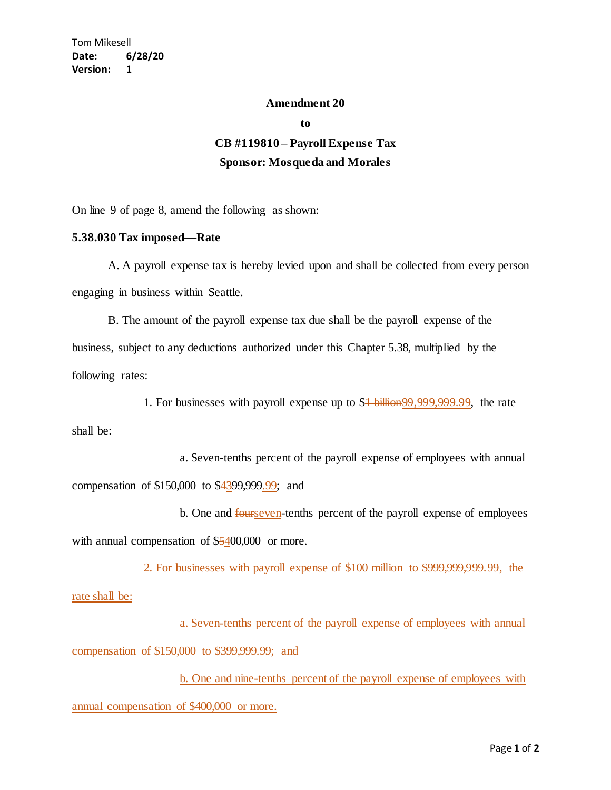## **Amendment 20**

**to**

## **CB #119810 – Payroll Expense Tax Sponsor: Mosqueda and Morales**

On line 9 of page 8, amend the following as shown:

## **5.38.030 Tax imposed—Rate**

A. A payroll expense tax is hereby levied upon and shall be collected from every person engaging in business within Seattle.

B. The amount of the payroll expense tax due shall be the payroll expense of the business, subject to any deductions authorized under this Chapter 5.38, multiplied by the following rates:

1. For businesses with payroll expense up to \$1 billion99,999,999.99, the rate

shall be:

a. Seven-tenths percent of the payroll expense of employees with annual compensation of \$150,000 to \$4399,999.99; and

b. One and fourseven-tenths percent of the payroll expense of employees with annual compensation of \$5400,000 or more.

2. For businesses with payroll expense of \$100 million to \$999,999,999.99, the rate shall be:

a. Seven-tenths percent of the payroll expense of employees with annual compensation of \$150,000 to \$399,999.99; and

b. One and nine-tenths percent of the payroll expense of employees with annual compensation of \$400,000 or more.